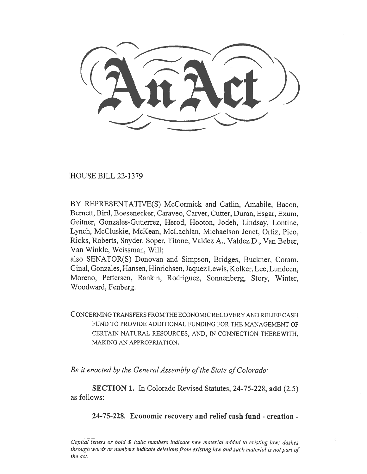HOUSE BILL 22-1379

BY REPRESENTATIVE(S) McCormick and Catlin, Amabile, Bacon, Bernett, Bird, Boesenecker, Caraveo, Carver, Cutter, Duran, Esgar, Exum, Geitner, Gonzales-Gutierrez, Herod, Hooton, Jodeh, Lindsay, Lontine, Lynch, McCluskie, McKean, McLachlan, Michaelson Jenet, Ortiz, Pico, Ricks, Roberts, Snyder, Soper, Titone, Valdez A., Valdez D., Van Beber, Van Winkle, Weissman, Will;

also SENATOR(S) Donovan and Simpson, Bridges, Buckner, Coram, Ginal, Gonzales, Hansen, Hinrichsen, Jaquez Lewis, Kolker, Lee, Lundeen, Moreno, Pettersen, Rankin, Rodriguez, Sonnenberg, Story, Winter, Woodward, Fenberg.

CONCERNING TRANSFERS FROM THE ECONOMIC RECOVERY AND RELIEF CASH FUND TO PROVIDE ADDITIONAL FUNDING FOR THE MANAGEMENT OF CERTAIN NATURAL RESOURCES, AND, IN CONNECTION THEREWITH, MAKING AN APPROPRIATION.

Be it enacted by the General Assembly of the State of Colorado:

SECTION 1. In Colorado Revised Statutes, 24-75-228, add (2.5) as follows:

24-75-228. Economic recovery and relief cash fund - creation -

Capital letters or bold & italic numbers indicate new material added to existing law; dashes through words or numbers indicate deletions from existing law and such material is not part of the act.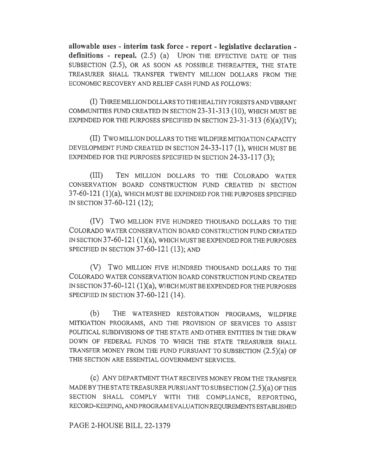allowable uses - interim task force - report - legislative declaration definitions - repeal.  $(2.5)$   $(a)$  UPON THE EFFECTIVE DATE OF THIS SUBSECTION (2.5), OR AS SOON AS POSSIBLE THEREAFTER, THE STATE TREASURER SHALL TRANSFER TWENTY MILLION DOLLARS FROM THE ECONOMIC RECOVERY AND RELIEF CASH FUND AS FOLLOWS:

(I) THREE MILLION DOLLARS TO THE HEALTHY FORESTS AND VIBRANT COMMUNITIES FUND CREATED IN SECTION 23-31-313 (10), WHICH MUST BE EXPENDED FOR THE PURPOSES SPECIFIED IN SECTION  $23-31-313$  (6)(a)(IV);

(II) Two MILLION DOLLARS TO THE WILDFIRE MITIGATION CAPACITY DEVELOPMENT FUND CREATED IN SECTION 24-33-117 (1), WHICH MUST BE EXPENDED FOR THE PURPOSES SPECIFIED IN SECTION  $24-33-117(3)$ ;

(III) TEN MILLION DOLLARS TO THE COLORADO WATER CONSERVATION BOARD CONSTRUCTION FUND CREATED IN SECTION 37-60-121 (1)(a), WHICH MUST BE EXPENDED FOR THE PURPOSES SPECIFIED IN SECTION 37-60-121 (12);

(IV) TWO MILLION FIVE HUNDRED THOUSAND DOLLARS TO THE COLORADO WATER CONSERVATION BOARD CONSTRUCTION FUND CREATED IN SECTION 37-60-121 (1)(a), WHICH MUST BE EXPENDED FOR THE PURPOSES SPECIFIED IN SECTION 37-60-121 (13); AND

(V) Two MILLION FIVE HUNDRED THOUSAND DOLLARS TO THE COLORADO WATER CONSERVATION BOARD CONSTRUCTION FUND CREATED IN SECTION 37-60-121 (1)(a), WHICH MUST BE EXPENDED FOR THE PURPOSES SPECIFIED IN SECTION 37-60-121 (14).

(b) THE WATERSHED RESTORATION PROGRAMS, WILDFIRE MITIGATION PROGRAMS, AND THE PROVISION OF SERVICES TO ASSIST POLITICAL SUBDIVISIONS OF THE STATE AND OTHER ENTITIES IN THE DRAW DOWN OF FEDERAL FUNDS TO WHICH THE STATE TREASURER SHALL TRANSFER MONEY FROM THE FUND PURSUANT TO SUBSECTION (2.5)(a) OF THIS SECTION ARE ESSENTIAL GOVERNMENT SERVICES.

(c) ANY DEPARTMENT THAT RECEIVES MONEY FROM THE TRANSFER MADE BY THE STATE TREASURER PURSUANT TO SUBSECTION (2.5)(a) OF THIS SECTION SHALL COMPLY WITH THE COMPLIANCE, REPORTING, RECORD-KEEPING, AND PROGRAM EVALUATION REQUIREMENTS ESTABLISHED

## PAGE 2-HOUSE BILL 22-1379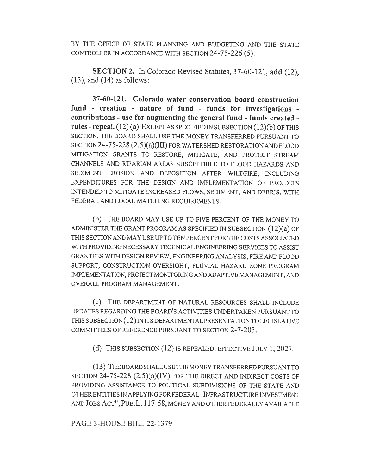BY THE OFFICE OF STATE PLANNING AND BUDGETING AND THE STATE CONTROLLER IN ACCORDANCE WITH SECTION 24-75-226 (5).

SECTION 2. In Colorado Revised Statutes, 37-60-121, add (12),  $(13)$ , and  $(14)$  as follows:

37-60-121. Colorado water conservation board construction fund - creation - nature of fund - funds for investigations contributions - use for augmenting the general fund - funds created rules - repeal. (12) (a) EXCEPT AS SPECIFIED IN SUBSECTION (12)(b) OF THIS SECTION, THE BOARD SHALL USE THE MONEY TRANSFERRED PURSUANT TO SECTION 24-75-228 (2.5)(a)(III) FOR WATERSHED RESTORATION AND FLOOD MITIGATION GRANTS TO RESTORE, MITIGATE, AND PROTECT STREAM CHANNELS AND RIPARIAN AREAS SUSCEPTIBLE TO FLOOD HAZARDS AND SEDIMENT EROSION AND DEPOSITION AFTER WILDFIRE, INCLUDING EXPENDITURES FOR THE DESIGN AND IMPLEMENTATION OF PROJECTS INTENDED TO MITIGATE INCREASED FLOWS, SEDIMENT, AND DEBRIS, WITH FEDERAL AND LOCAL MATCHING REQUIREMENTS.

(b) THE BOARD MAY USE UP TO FIVE PERCENT OF THE MONEY TO ADMINISTER THE GRANT PROGRAM AS SPECIFIED IN SUBSECTION (12)(a) OF THIS SECTION AND MAY USE UP TO TEN PERCENT FOR THE COSTS ASSOCIATED WITH PROVIDING NECESSARY TECHNICAL ENGINEERING SERVICES TO ASSIST GRANTEES WITH DESIGN REVIEW, ENGINEERING ANALYSIS, FIRE AND FLOOD SUPPORT, CONSTRUCTION OVERSIGHT, FLUVIAL HAZARD ZONE PROGRAM IMPLEMENTATION, PROJECT MONITORING AND ADAPTIVE MANAGEMENT, AND OVERALL PROGRAM MANAGEMENT.

(c) THE DEPARTMENT OF NATURAL RESOURCES SHALL INCLUDE UPDATES REGARDING THE BOARD'S ACTIVITIES UNDERTAKEN PURSUANT TO THIS SUBSECTION (12) IN ITS DEPARTMENTAL PRESENTATION TO LEGISLATIVE COMMITTEES OF REFERENCE PURSUANT TO SECTION 2-7-203.

(d) THIS SUBSECTION (12) IS REPEALED, EFFECTIVE JULY 1, 2027.

(13) THE BOARD SHALL USE THE MONEY TRANSFERRED PURSUANT TO SECTION 24-75-228 (2.5)(a)(IV) FOR THE DIRECT AND INDIRECT COSTS OF PROVIDING ASSISTANCE TO POLITICAL SUBDIVISIONS OF THE STATE AND OTHER ENTITIES IN APPLYING FOR FEDERAL "INFRASTRUCTURE INVESTMENT AND JOBS ACT", PUB .L. 117-58, MONEY AND OTHER FEDERALLY AVAILABLE

PAGE 3-HOUSE BILL 22-1379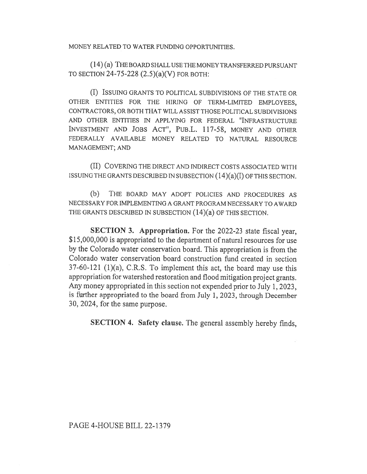MONEY RELATED TO WATER FUNDING OPPORTUNITIES.

(14) (a) THE BOARD SHALL USE THE MONEY TRANSFERRED PURSUANT TO SECTION 24-75-228 (2.5)(a)(V) FOR BOTH:

(I) ISSUING GRANTS TO POLITICAL SUBDIVISIONS OF THE STATE OR OTHER ENTITIES FOR THE HIRING OF TERM-LIMITED EMPLOYEES, CONTRACTORS, OR BOTH THAT WILL ASSIST THOSE POLITICAL SUBDIVISIONS AND OTHER ENTITIES IN APPLYING FOR FEDERAL "INFRASTRUCTURE INVESTMENT AND JOBS ACT", PuB.L. 117-58, MONEY AND OTHER FEDERALLY AVAILABLE MONEY RELATED TO NATURAL RESOURCE MANAGEMENT; AND

(II) COVERING THE DIRECT AND INDIRECT COSTS ASSOCIATED WITH ISSUING THE GRANTS DESCRIBED IN SUBSECTION (14)(a)(I) OF THIS SECTION.

(b) THE BOARD MAY ADOPT POLICIES AND PROCEDURES AS NECESSARY FOR IMPLEMENTING A GRANT PROGRAM NECESSARY TO AWARD THE GRANTS DESCRIBED IN SUBSECTION (14)(a) OF THIS SECTION.

SECTION 3. Appropriation. For the 2022-23 state fiscal year, \$15,000,000 is appropriated to the department of natural resources for use by the Colorado water conservation board. This appropriation is from the Colorado water conservation board construction fund created in section 37-60-121 (1)(a), C.R.S. To implement this act, the board may use this appropriation for watershed restoration and flood mitigation project grants. Any money appropriated in this section not expended prior to July 1, 2023, is further appropriated to the board from July 1, 2023, through December 30, 2024, for the same purpose.

SECTION 4. Safety clause. The general assembly hereby finds,

PAGE 4-HOUSE BILL 22-1379